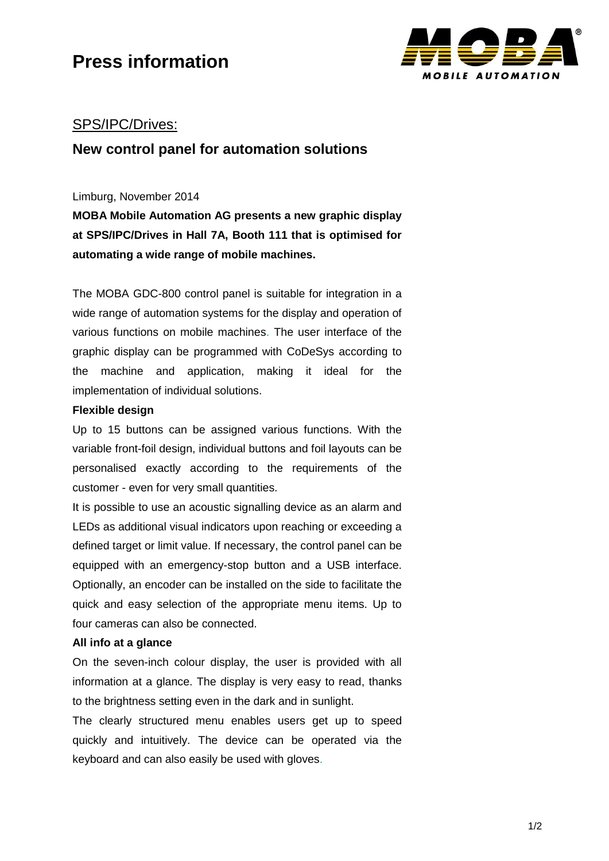

## SPS/IPC/Drives:

## **New control panel for automation solutions**

#### Limburg, November 2014

**MOBA Mobile Automation AG presents a new graphic display at SPS/IPC/Drives in Hall 7A, Booth 111 that is optimised for automating a wide range of mobile machines.** 

The MOBA GDC-800 control panel is suitable for integration in a wide range of automation systems for the display and operation of various functions on mobile machines. The user interface of the graphic display can be programmed with CoDeSys according to the machine and application, making it ideal for the implementation of individual solutions.

### **Flexible design**

Up to 15 buttons can be assigned various functions. With the variable front-foil design, individual buttons and foil layouts can be personalised exactly according to the requirements of the customer - even for very small quantities.

It is possible to use an acoustic signalling device as an alarm and LEDs as additional visual indicators upon reaching or exceeding a defined target or limit value. If necessary, the control panel can be equipped with an emergency-stop button and a USB interface. Optionally, an encoder can be installed on the side to facilitate the quick and easy selection of the appropriate menu items. Up to four cameras can also be connected.

### **All info at a glance**

On the seven-inch colour display, the user is provided with all information at a glance. The display is very easy to read, thanks to the brightness setting even in the dark and in sunlight.

The clearly structured menu enables users get up to speed quickly and intuitively. The device can be operated via the keyboard and can also easily be used with gloves.